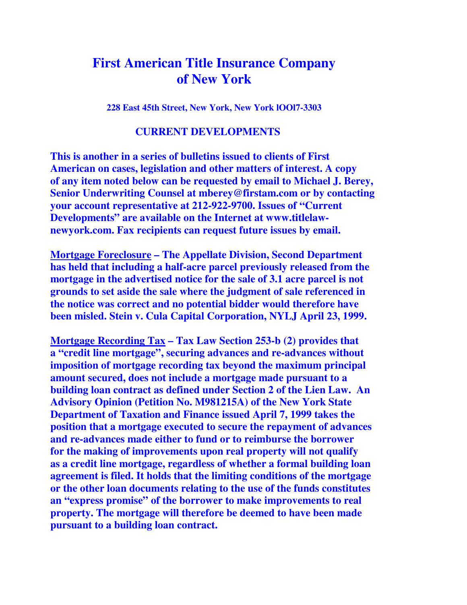## **First American Title Insurance Company of New York**

**228 East 45th Street, New York, New York lOOl7-3303**

## **CURRENT DEVELOPMENTS**

**This is another in a series of bulletins issued to clients of First American on cases, legislation and other matters of interest. A copy of any item noted below can be requested by email to Michael J. Berey, Senior Underwriting Counsel at mberey@firstam.com or by contacting your account representative at 212-922-9700. Issues of "Current Developments" are available on the Internet at www.titlelawnewyork.com. Fax recipients can request future issues by email.** 

**Mortgage Foreclosure – The Appellate Division, Second Department has held that including a half-acre parcel previously released from the mortgage in the advertised notice for the sale of 3.1 acre parcel is not grounds to set aside the sale where the judgment of sale referenced in the notice was correct and no potential bidder would therefore have been misled. Stein v. Cula Capital Corporation, NYLJ April 23, 1999.** 

**Mortgage Recording Tax – Tax Law Section 253-b (2) provides that a "credit line mortgage", securing advances and re-advances without imposition of mortgage recording tax beyond the maximum principal amount secured, does not include a mortgage made pursuant to a building loan contract as defined under Section 2 of the Lien Law. An Advisory Opinion (Petition No. M981215A) of the New York State Department of Taxation and Finance issued April 7, 1999 takes the position that a mortgage executed to secure the repayment of advances and re-advances made either to fund or to reimburse the borrower for the making of improvements upon real property will not qualify as a credit line mortgage, regardless of whether a formal building loan agreement is filed. It holds that the limiting conditions of the mortgage or the other loan documents relating to the use of the funds constitutes an "express promise" of the borrower to make improvements to real property. The mortgage will therefore be deemed to have been made pursuant to a building loan contract.**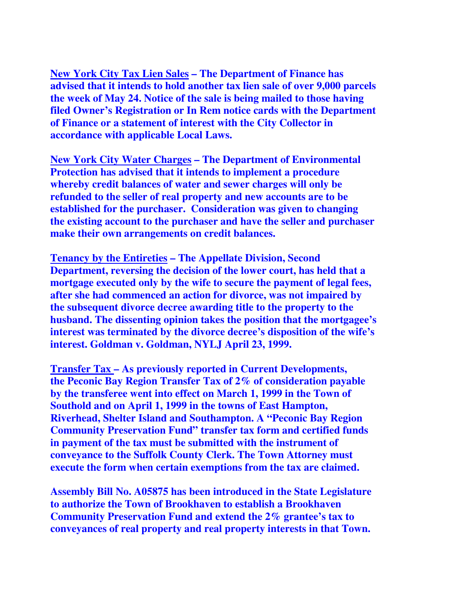**New York City Tax Lien Sales – The Department of Finance has advised that it intends to hold another tax lien sale of over 9,000 parcels the week of May 24. Notice of the sale is being mailed to those having filed Owner's Registration or In Rem notice cards with the Department of Finance or a statement of interest with the City Collector in accordance with applicable Local Laws.** 

**New York City Water Charges – The Department of Environmental Protection has advised that it intends to implement a procedure whereby credit balances of water and sewer charges will only be refunded to the seller of real property and new accounts are to be established for the purchaser. Consideration was given to changing the existing account to the purchaser and have the seller and purchaser make their own arrangements on credit balances.** 

**Tenancy by the Entireties – The Appellate Division, Second Department, reversing the decision of the lower court, has held that a mortgage executed only by the wife to secure the payment of legal fees, after she had commenced an action for divorce, was not impaired by the subsequent divorce decree awarding title to the property to the husband. The dissenting opinion takes the position that the mortgagee's interest was terminated by the divorce decree's disposition of the wife's interest. Goldman v. Goldman, NYLJ April 23, 1999.** 

**Transfer Tax – As previously reported in Current Developments, the Peconic Bay Region Transfer Tax of 2% of consideration payable by the transferee went into effect on March 1, 1999 in the Town of Southold and on April 1, 1999 in the towns of East Hampton, Riverhead, Shelter Island and Southampton. A "Peconic Bay Region Community Preservation Fund" transfer tax form and certified funds in payment of the tax must be submitted with the instrument of conveyance to the Suffolk County Clerk. The Town Attorney must execute the form when certain exemptions from the tax are claimed.** 

**Assembly Bill No. A05875 has been introduced in the State Legislature to authorize the Town of Brookhaven to establish a Brookhaven Community Preservation Fund and extend the 2% grantee's tax to conveyances of real property and real property interests in that Town.**